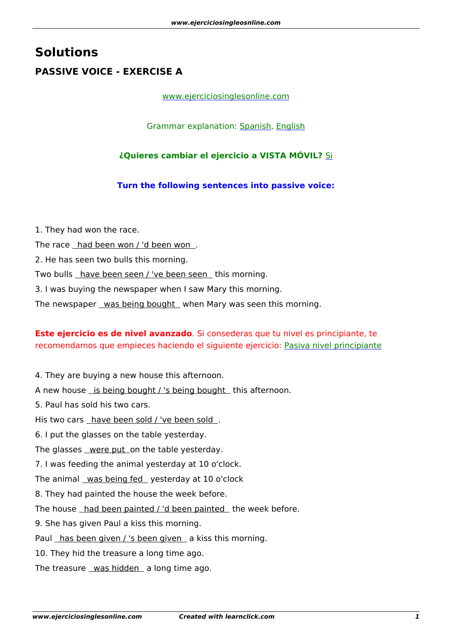# **Solutions PASSIVE VOICE - EXERCISE A**

### [www.ejerciciosinglesonline.com](http://www.ejerciciosinglesonline.com/)

Grammar explanation: [Spanish](http://www.ejerciciosinglesonline.com/exercises-and-theory/grammar-exercises-and-theory/passive/), [English](http://www.ejerciciosinglesonline.com/exercises-and-theory/grammar-exercises-and-theory/english-passive-voice/)

## **¿Quieres cambiar el ejercicio a VISTA MÓVIL?** [Si](https://www.ejerciciosinglesonline.com/new-exercises/ex-1-passive/ex-1-passive-mobile)

### **Turn the following sentences into passive voice:**

1. They had won the race.

The race had been won / 'd been won.

2. He has seen two bulls this morning.

Two bulls have been seen / 've been seen this morning.

3. I was buying the newspaper when I saw Mary this morning.

The newspaper was being bought when Mary was seen this morning.

# **Este ejercicio es de nivel avanzado**. Si consederas que tu nivel es principiante, te recomendamos que empieces haciendo el siguiente ejercicio: [Pasiva nivel principiante](https://www.ejerciciosinglesonline.com/exercises-and-theory/ex1-passive/)

4. They are buying a new house this afternoon.

A new house is being bought / 's being bought this afternoon.

5. Paul has sold his two cars.

His two cars have been sold / 've been sold .

6. I put the glasses on the table yesterday.

The glasses were put on the table yesterday.

7. I was feeding the animal yesterday at 10 o'clock.

The animal was being fed yesterday at 10 o'clock

8. They had painted the house the week before.

The house had been painted / 'd been painted the week before.

9. She has given Paul a kiss this morning.

Paul has been given / 's been given a kiss this morning.

10. They hid the treasure a long time ago.

The treasure  $\mu$ as hidden a long time ago.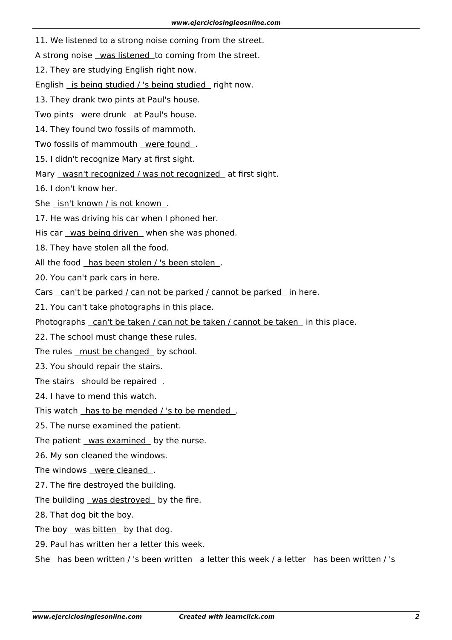11. We listened to a strong noise coming from the street.

A strong noise was listened to coming from the street.

12. They are studying English right now.

English is being studied / 's being studied right now.

13. They drank two pints at Paul's house.

Two pints were drunk at Paul's house.

14. They found two fossils of mammoth.

Two fossils of mammouth were found.

15. I didn't recognize Mary at first sight.

Mary wasn't recognized / was not recognized at first sight.

16. I don't know her.

She isn't known / is not known .

17. He was driving his car when I phoned her.

His car was being driven when she was phoned.

18. They have stolen all the food.

All the food has been stolen / 's been stolen .

20. You can't park cars in here.

Cars can't be parked / can not be parked / cannot be parked in here.

21. You can't take photographs in this place.

Photographs can't be taken / can not be taken / cannot be taken in this place.

22. The school must change these rules.

The rules must be changed by school.

23. You should repair the stairs.

The stairs should be repaired .

24. I have to mend this watch.

This watch has to be mended / 's to be mended.

25. The nurse examined the patient.

The patient was examined by the nurse.

26. My son cleaned the windows.

The windows were cleaned .

27. The fire destroyed the building.

The building was destroyed by the fire.

28. That dog bit the boy.

The boy was bitten by that dog.

29. Paul has written her a letter this week.

She has been written / 's been written a letter this week / a letter has been written / 's